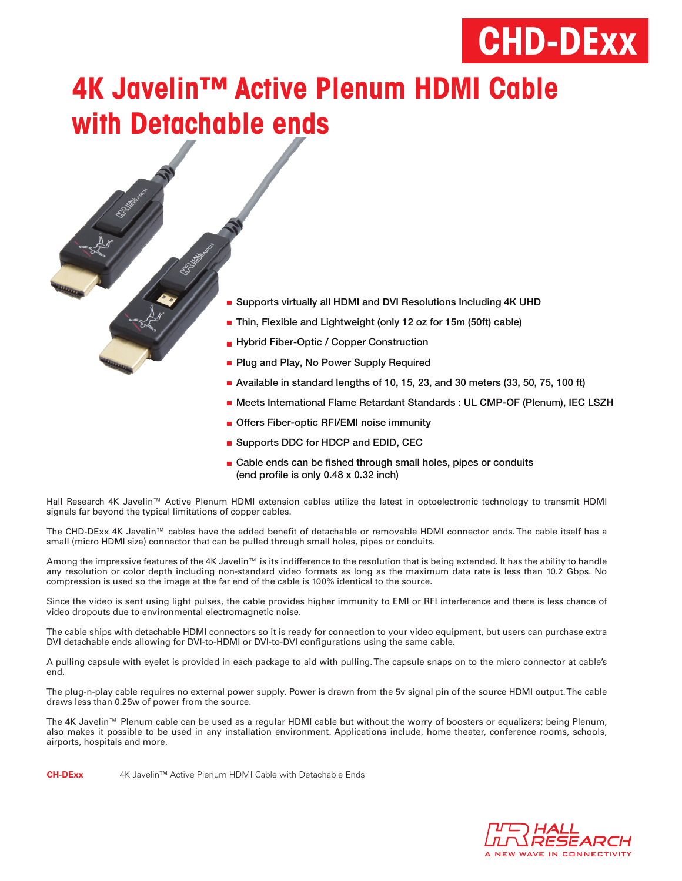# **CHD-DExx**

## **4K Javelin™ Active Plenum HDMI Cable with Detachable ends**

- Supports virtually all HDMI and DVI Resolutions Including 4K UHD Thin, Flexible and Lightweight (only 12 oz for 15m (50ft) cable) **Hybrid Fiber-Optic / Copper Construction Plug and Play, No Power Supply Required** Available in standard lengths of 10, 15, 23, and 30 meters (33, 50, 75, 100 ft) **Meets International Flame Retardant Standards : UL CMP-OF (Plenum), IEC LSZH Offers Fiber-optic RFI/EMI noise immunity** 
	- Supports DDC for HDCP and EDID, CEC
	- $\blacksquare$  Cable ends can be fished through small holes, pipes or conduits (end profile is only  $0.48 \times 0.32$  inch)

Hall Research 4K Javelin™ Active Plenum HDMI extension cables utilize the latest in optoelectronic technology to transmit HDMI signals far beyond the typical limitations of copper cables.

The CHD-DExx 4K Javelin™ cables have the added benefit of detachable or removable HDMI connector ends. The cable itself has a small (micro HDMI size) connector that can be pulled through small holes, pipes or conduits.

Among the impressive features of the 4K Javelin™ is its indifference to the resolution that is being extended. It has the ability to handle any resolution or color depth including non-standard video formats as long as the maximum data rate is less than 10.2 Gbps. No compression is used so the image at the far end of the cable is 100% identical to the source.

Since the video is sent using light pulses, the cable provides higher immunity to EMI or RFI interference and there is less chance of video dropouts due to environmental electromagnetic noise.

The cable ships with detachable HDMI connectors so it is ready for connection to your video equipment, but users can purchase extra DVI detachable ends allowing for DVI-to-HDMI or DVI-to-DVI configurations using the same cable.

A pulling capsule with eyelet is provided in each package to aid with pulling. The capsule snaps on to the micro connector at cable's end.

The plug-n-play cable requires no external power supply. Power is drawn from the 5v signal pin of the source HDMI output. The cable draws less than 0.25w of power from the source.

The 4K Javelin™ Plenum cable can be used as a regular HDMI cable but without the worry of boosters or equalizers; being Plenum, also makes it possible to be used in any installation environment. Applications include, home theater, conference rooms, schools, airports, hospitals and more.

**CH-DExx** 4K Javelin™ Active Plenum HDMI Cable with Detachable Ends